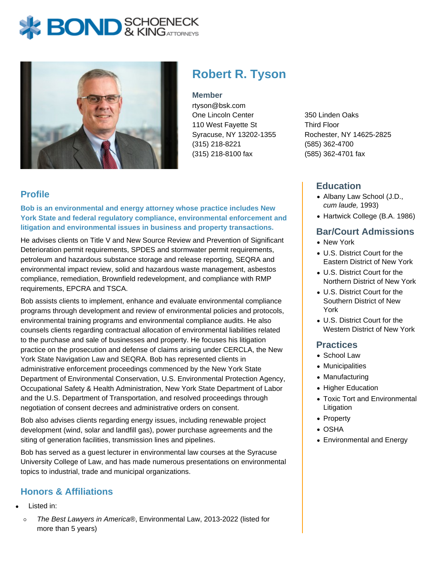# **BOND** & KING ATTORNECK



## **Robert R. Tyson**

#### **Member**

rtyson@bsk.com One Lincoln Center 110 West Fayette St Syracuse, NY 13202-1355 (315) 218-8221 (315) 218-8100 fax

350 Linden Oaks Third Floor Rochester, NY 14625-2825 (585) 362-4700 (585) 362-4701 fax

### **Education**

- Albany Law School (J.D., cum laude, 1993)
- Hartwick College (B.A. 1986)

#### **Bar/Court Admissions**

- New York
- U.S. District Court for the Eastern District of New York
- U.S. District Court for the Northern District of New York
- U.S. District Court for the Southern District of New York
- U.S. District Court for the Western District of New York

#### **Practices**

- School Law
- Municipalities
- Manufacturing
- Higher Education
- Toxic Tort and Environmental Litigation
- Property
- OSHA
- Environmental and Energy

#### **Profile**

**Bob is an environmental and energy attorney whose practice includes New York State and federal regulatory compliance, environmental enforcement and litigation and environmental issues in business and property transactions.**

He advises clients on Title V and New Source Review and Prevention of Significant Deterioration permit requirements, SPDES and stormwater permit requirements, petroleum and hazardous substance storage and release reporting, SEQRA and environmental impact review, solid and hazardous waste management, asbestos compliance, remediation, Brownfield redevelopment, and compliance with RMP requirements, EPCRA and TSCA.

Bob assists clients to implement, enhance and evaluate environmental compliance programs through development and review of environmental policies and protocols, environmental training programs and environmental compliance audits. He also counsels clients regarding contractual allocation of environmental liabilities related to the purchase and sale of businesses and property. He focuses his litigation practice on the prosecution and defense of claims arising under CERCLA, the New York State Navigation Law and SEQRA. Bob has represented clients in administrative enforcement proceedings commenced by the New York State Department of Environmental Conservation, U.S. Environmental Protection Agency, Occupational Safety & Health Administration, New York State Department of Labor and the U.S. Department of Transportation, and resolved proceedings through negotiation of consent decrees and administrative orders on consent.

Bob also advises clients regarding energy issues, including renewable project development (wind, solar and landfill gas), power purchase agreements and the siting of generation facilities, transmission lines and pipelines.

Bob has served as a guest lecturer in environmental law courses at the Syracuse University College of Law, and has made numerous presentations on environmental topics to industrial, trade and municipal organizations.

### **Honors & Affiliations**

- Listed in:
- $\circ$ The Best Lawyers in America®, Environmental Law, 2013-2022 (listed for more than 5 years)